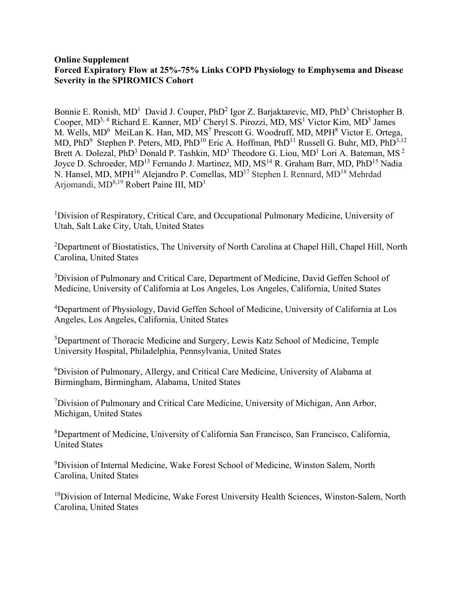## **Online Supplement Forced Expiratory Flow at 25%-75% Links COPD Physiology to Emphysema and Disease Severity in the SPIROMICS Cohort**

Bonnie E. Ronish, MD<sup>1</sup> David J. Couper, PhD<sup>2</sup> Igor Z. Barjaktarevic, MD, PhD<sup>3</sup> Christopher B. Cooper,  $MD^{3, 4}$  Richard E. Kanner,  $MD^{1}$  Cheryl S. Pirozzi,  $MD$ ,  $MS^{1}$  Victor Kim,  $MD^{5}$  James M. Wells, MD<sup>6</sup> MeiLan K. Han, MD, MS<sup>7</sup> Prescott G. Woodruff, MD, MPH<sup>8</sup> Victor E. Ortega, MD, PhD<sup>9</sup> Stephen P. Peters, MD, PhD<sup>10</sup> Eric A. Hoffman, PhD<sup>11</sup> Russell G. Buhr, MD, PhD<sup>3,12</sup> Brett A. Dolezal, PhD<sup>3</sup> Donald P. Tashkin, MD<sup>3</sup> Theodore G. Liou, MD<sup>1</sup> Lori A. Bateman, MS<sup>2</sup> Joyce D. Schroeder, MD<sup>13</sup> Fernando J. Martinez, MD, MS<sup>14</sup> R. Graham Barr, MD, PhD<sup>15</sup> Nadia N. Hansel, MD, MPH<sup>16</sup> Alejandro P. Comellas, MD<sup>17</sup> Stephen I. Rennard, MD<sup>18</sup> Mehrdad Arjomandi, MD<sup>8,19</sup> Robert Paine III, MD<sup>1</sup>

<sup>1</sup>Division of Respiratory, Critical Care, and Occupational Pulmonary Medicine, University of Utah, Salt Lake City, Utah, United States

<sup>2</sup>Department of Biostatistics, The University of North Carolina at Chapel Hill, Chapel Hill, North Carolina, United States

<sup>3</sup>Division of Pulmonary and Critical Care, Department of Medicine, David Geffen School of Medicine, University of California at Los Angeles, Los Angeles, California, United States

<sup>4</sup>Department of Physiology, David Geffen School of Medicine, University of California at Los Angeles, Los Angeles, California, United States

5 Department of Thoracic Medicine and Surgery, Lewis Katz School of Medicine, Temple University Hospital, Philadelphia, Pennsylvania, United States

6 Division of Pulmonary, Allergy, and Critical Care Medicine, University of Alabama at Birmingham, Birmingham, Alabama, United States

<sup>7</sup>Division of Pulmonary and Critical Care Medicine, University of Michigan, Ann Arbor, Michigan, United States

8 Department of Medicine, University of California San Francisco, San Francisco, California, United States

9 Division of Internal Medicine, Wake Forest School of Medicine, Winston Salem, North Carolina, United States

 $10$ Division of Internal Medicine, Wake Forest University Health Sciences, Winston-Salem, North Carolina, United States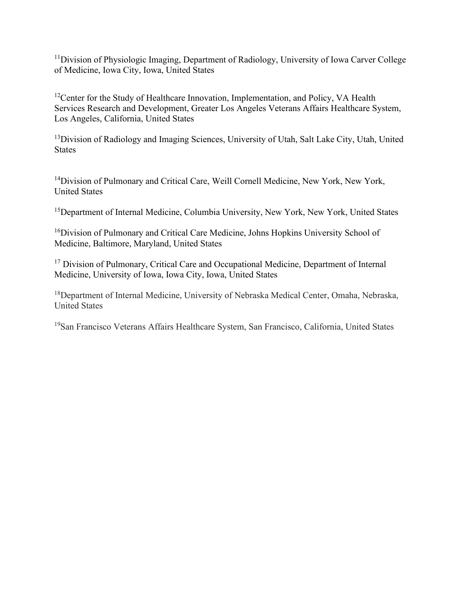<sup>11</sup>Division of Physiologic Imaging, Department of Radiology, University of Iowa Carver College of Medicine, Iowa City, Iowa, United States

<sup>12</sup>Center for the Study of Healthcare Innovation, Implementation, and Policy, VA Health Services Research and Development, Greater Los Angeles Veterans Affairs Healthcare System, Los Angeles, California, United States

<sup>13</sup>Division of Radiology and Imaging Sciences, University of Utah, Salt Lake City, Utah, United States

<sup>14</sup>Division of Pulmonary and Critical Care, Weill Cornell Medicine, New York, New York, United States

<sup>15</sup>Department of Internal Medicine, Columbia University, New York, New York, United States

<sup>16</sup>Division of Pulmonary and Critical Care Medicine, Johns Hopkins University School of Medicine, Baltimore, Maryland, United States

<sup>17</sup> Division of Pulmonary, Critical Care and Occupational Medicine, Department of Internal Medicine, University of Iowa, Iowa City, Iowa, United States

<sup>18</sup>Department of Internal Medicine, University of Nebraska Medical Center, Omaha, Nebraska, United States

19San Francisco Veterans Affairs Healthcare System, San Francisco, California, United States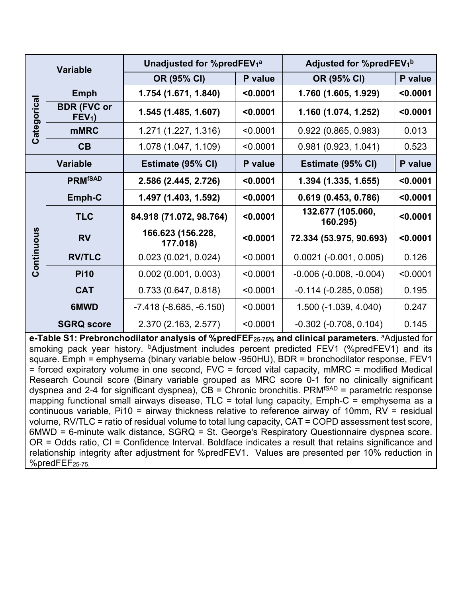| <b>Variable</b> |                                        | Unadjusted for %predFEV <sub>1</sub> a |          | Adjusted for %predFEV <sub>1</sub> b |          |
|-----------------|----------------------------------------|----------------------------------------|----------|--------------------------------------|----------|
|                 |                                        | OR (95% CI)                            | P value  | OR (95% CI)                          | P value  |
| Categorical     | Emph                                   | 1.754 (1.671, 1.840)                   | < 0.0001 | 1.760 (1.605, 1.929)                 | < 0.0001 |
|                 | <b>BDR (FVC or</b><br>FEV <sub>1</sub> | 1.545 (1.485, 1.607)                   | < 0.0001 | 1.160 (1.074, 1.252)                 | < 0.0001 |
|                 | <b>mMRC</b>                            | 1.271 (1.227, 1.316)                   | < 0.0001 | 0.922(0.865, 0.983)                  | 0.013    |
|                 | CB                                     | 1.078 (1.047, 1.109)                   | < 0.0001 | 0.981(0.923, 1.041)                  | 0.523    |
|                 | <b>Variable</b>                        | Estimate (95% CI)                      | P value  | Estimate (95% CI)                    | P value  |
| Continuous      | <b>PRMfSAD</b>                         | 2.586 (2.445, 2.726)                   | < 0.0001 | 1.394 (1.335, 1.655)                 | $0.0001$ |
|                 | Emph-C                                 | 1.497 (1.403, 1.592)                   | < 0.0001 | 0.619(0.453, 0.786)                  | < 0.0001 |
|                 | <b>TLC</b>                             | 84.918 (71.072, 98.764)                | < 0.0001 | 132.677 (105.060,<br>160.295)        | < 0.0001 |
|                 | <b>RV</b>                              | 166.623 (156.228,<br>177.018)          | < 0.0001 | 72.334 (53.975, 90.693)              | < 0.0001 |
|                 | <b>RV/TLC</b>                          | 0.023(0.021, 0.024)                    | < 0.0001 | $0.0021$ (-0.001, 0.005)             | 0.126    |
|                 | <b>Pi10</b>                            | $0.002$ (0.001, 0.003)                 | < 0.0001 | $-0.006$ $(-0.008, -0.004)$          | < 0.0001 |
|                 | <b>CAT</b>                             | 0.733(0.647, 0.818)                    | < 0.0001 | $-0.114$ $(-0.285, 0.058)$           | 0.195    |
|                 | 6MWD                                   | $-7.418$ ( $-8.685, -6.150$ )          | < 0.0001 | 1.500 (-1.039, 4.040)                | 0.247    |
|                 | <b>SGRQ score</b>                      | 2.370 (2.163, 2.577)                   | < 0.0001 | $-0.302$ $(-0.708, 0.104)$           | 0.145    |

**e-Table S1: Prebronchodilator analysis of %predFEF25-75% and clinical parameters**. aAdjusted for smoking pack year history. <sup>b</sup>Adjustment includes percent predicted FEV1 (%predFEV1) and its square. Emph = emphysema (binary variable below -950HU), BDR = bronchodilator response, FEV1 = forced expiratory volume in one second, FVC = forced vital capacity, mMRC = modified Medical Research Council score (Binary variable grouped as MRC score 0-1 for no clinically significant dyspnea and 2-4 for significant dyspnea),  $CB =$  Chronic bronchitis. PRM<sup>fSAD</sup> = parametric response mapping functional small airways disease, TLC = total lung capacity, Emph-C = emphysema as a continuous variable, Pi10 = airway thickness relative to reference airway of 10mm, RV = residual volume, RV/TLC = ratio of residual volume to total lung capacity, CAT = COPD assessment test score, 6MWD = 6-minute walk distance, SGRQ = St. George's Respiratory Questionnaire dyspnea score. OR = Odds ratio, CI = Confidence Interval. Boldface indicates a result that retains significance and relationship integrity after adjustment for %predFEV1. Values are presented per 10% reduction in %predFEF25-75.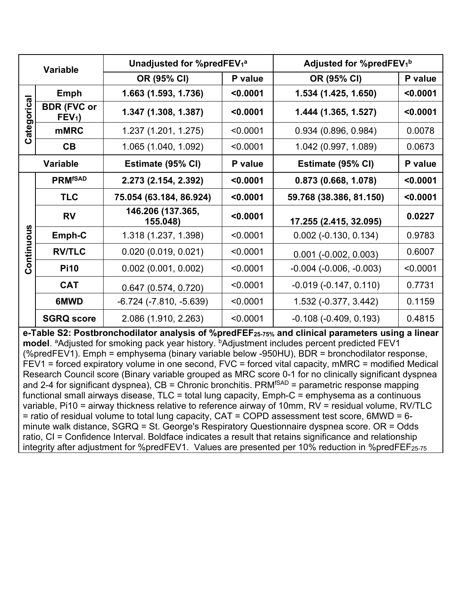| <b>Variable</b> |                                        | Unadjusted for %predFEV <sub>1</sub> a |          | Adjusted for %predFEV <sub>1</sub> b |          |
|-----------------|----------------------------------------|----------------------------------------|----------|--------------------------------------|----------|
|                 |                                        | OR (95% CI)                            | P value  | OR (95% CI)                          | P value  |
| Categorical     | Emph                                   | 1.663 (1.593, 1.736)                   | < 0.0001 | 1.534 (1.425, 1.650)                 | < 0.0001 |
|                 | <b>BDR (FVC or</b><br>FEV <sub>1</sub> | 1.347 (1.308, 1.387)                   | < 0.0001 | 1.444 (1.365, 1.527)                 | < 0.0001 |
|                 | <b>mMRC</b>                            | 1.237 (1.201, 1.275)                   | < 0.0001 | 0.934(0.896, 0.984)                  | 0.0078   |
|                 | CB                                     | 1.065 (1.040, 1.092)                   | < 0.0001 | 1.042 (0.997, 1.089)                 | 0.0673   |
|                 | <b>Variable</b>                        | Estimate (95% CI)                      | P value  | Estimate (95% CI)                    | P value  |
| Continuous      | <b>PRMfSAD</b>                         | 2.273 (2.154, 2.392)                   | < 0.0001 | 0.873(0.668, 1.078)                  | < 0.0001 |
|                 | <b>TLC</b>                             | 75.054 (63.184, 86.924)                | < 0.0001 | 59.768 (38.386, 81.150)              | < 0.0001 |
|                 | <b>RV</b>                              | 146.206 (137.365,<br>155.048)          | < 0.0001 | 17.255 (2.415, 32.095)               | 0.0227   |
|                 | Emph-C                                 | 1.318 (1.237, 1.398)                   | < 0.0001 | $0.002$ (-0.130, 0.134)              | 0.9783   |
|                 | <b>RV/TLC</b>                          | 0.020(0.019, 0.021)                    | < 0.0001 | $0.001$ (-0.002, 0.003)              | 0.6007   |
|                 | <b>Pi10</b>                            | $0.002$ (0.001, 0.002)                 | < 0.0001 | $-0.004$ $(-0.006, -0.003)$          | < 0.0001 |
|                 | <b>CAT</b>                             | 0.647(0.574, 0.720)                    | < 0.0001 | $-0.019(-0.147, 0.110)$              | 0.7731   |
|                 | 6MWD                                   | $-6.724$ ( $-7.810$ , $-5.639$ )       | < 0.0001 | 1.532 (-0.377, 3.442)                | 0.1159   |
|                 | <b>SGRQ score</b>                      | 2.086 (1.910, 2.263)                   | < 0.0001 | $-0.108$ $(-0.409, 0.193)$           | 0.4815   |

**e-Table S2: Postbronchodilator analysis of %predFEF25-75% and clinical parameters using a linear model**. <sup>a</sup>Adjusted for smoking pack year history. <sup>b</sup>Adjustment includes percent predicted FEV1 (%predFEV1). Emph = emphysema (binary variable below -950HU), BDR = bronchodilator response, FEV1 = forced expiratory volume in one second, FVC = forced vital capacity, mMRC = modified Medical Research Council score (Binary variable grouped as MRC score 0-1 for no clinically significant dyspnea and 2-4 for significant dyspnea),  $CB =$  Chronic bronchitis. PRM<sup>fSAD</sup> = parametric response mapping functional small airways disease, TLC = total lung capacity, Emph-C = emphysema as a continuous variable, Pi10 = airway thickness relative to reference airway of 10mm, RV = residual volume, RV/TLC = ratio of residual volume to total lung capacity, CAT = COPD assessment test score, 6MWD = 6 minute walk distance, SGRQ = St. George's Respiratory Questionnaire dyspnea score. OR = Odds ratio, CI = Confidence Interval. Boldface indicates a result that retains significance and relationship integrity after adjustment for %predFEV1. Values are presented per 10% reduction in %predFEF<sub>25-75</sub>